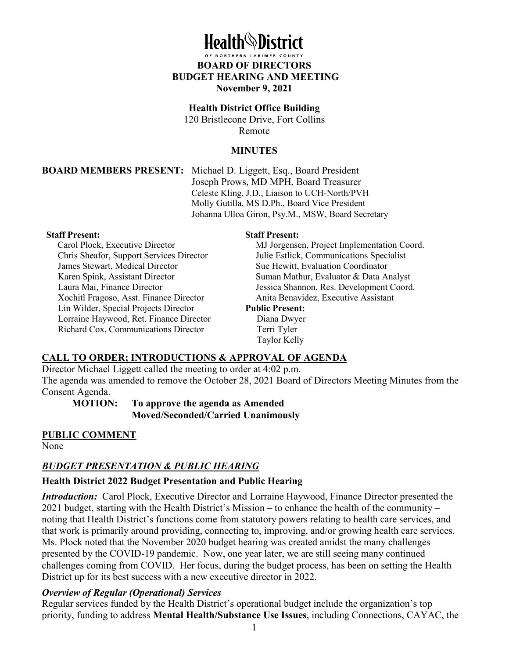# **Hoalth***Nistrict*

# **BOARD OF DIRECTORS BUDGET HEARING AND MEETING November 9, 2021**

## **Health District Office Building**

120 Bristlecone Drive, Fort Collins Remote

#### **MINUTES**

#### **BOARD MEMBERS PRESENT:** Michael D. Liggett, Esq., Board President

Joseph Prows, MD MPH, Board Treasurer Celeste Kling, J.D., Liaison to UCH-North/PVH Molly Gutilla, MS D.Ph., Board Vice President Johanna Ulloa Giron, Psy.M., MSW, Board Secretary

#### **Staff Present:**

Carol Plock, Executive Director Chris Sheafor, Support Services Director James Stewart, Medical Director Karen Spink, Assistant Director Laura Mai, Finance Director Xochitl Fragoso, Asst. Finance Director Lin Wilder, Special Projects Director Lorraine Haywood, Ret. Finance Director Richard Cox, Communications Director

#### **Staff Present:**

MJ Jorgensen, Project Implementation Coord. Julie Estlick, Communications Specialist Sue Hewitt, Evaluation Coordinator Suman Mathur, Evaluator & Data Analyst Jessica Shannon, Res. Development Coord. Anita Benavidez, Executive Assistant

#### **Public Present:**

 Diana Dwyer Terri Tyler Taylor Kelly

# **CALL TO ORDER; INTRODUCTIONS & APPROVAL OF AGENDA**

Director Michael Liggett called the meeting to order at 4:02 p.m. The agenda was amended to remove the October 28, 2021 Board of Directors Meeting Minutes from the Consent Agenda.

**MOTION: To approve the agenda as Amended Moved/Seconded/Carried Unanimously**

# **PUBLIC COMMENT**

None

# *BUDGET PRESENTATION & PUBLIC HEARING*

# **Health District 2022 Budget Presentation and Public Hearing**

*Introduction:* Carol Plock, Executive Director and Lorraine Haywood, Finance Director presented the 2021 budget, starting with the Health District's Mission – to enhance the health of the community – noting that Health District's functions come from statutory powers relating to health care services, and that work is primarily around providing, connecting to, improving, and/or growing health care services. Ms. Plock noted that the November 2020 budget hearing was created amidst the many challenges presented by the COVID-19 pandemic. Now, one year later, we are still seeing many continued challenges coming from COVID. Her focus, during the budget process, has been on setting the Health District up for its best success with a new executive director in 2022.

# *Overview of Regular (Operational) Services*

Regular services funded by the Health District's operational budget include the organization's top priority, funding to address **Mental Health/Substance Use Issues**, including Connections, CAYAC, the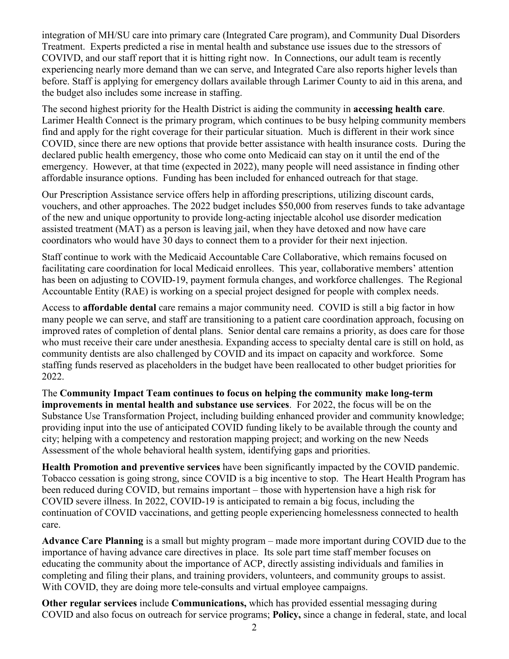integration of MH/SU care into primary care (Integrated Care program), and Community Dual Disorders Treatment. Experts predicted a rise in mental health and substance use issues due to the stressors of COVIVD, and our staff report that it is hitting right now. In Connections, our adult team is recently experiencing nearly more demand than we can serve, and Integrated Care also reports higher levels than before. Staff is applying for emergency dollars available through Larimer County to aid in this arena, and the budget also includes some increase in staffing.

The second highest priority for the Health District is aiding the community in **accessing health care**. Larimer Health Connect is the primary program, which continues to be busy helping community members find and apply for the right coverage for their particular situation. Much is different in their work since COVID, since there are new options that provide better assistance with health insurance costs. During the declared public health emergency, those who come onto Medicaid can stay on it until the end of the emergency. However, at that time (expected in 2022), many people will need assistance in finding other affordable insurance options. Funding has been included for enhanced outreach for that stage.

Our Prescription Assistance service offers help in affording prescriptions, utilizing discount cards, vouchers, and other approaches. The 2022 budget includes \$50,000 from reserves funds to take advantage of the new and unique opportunity to provide long-acting injectable alcohol use disorder medication assisted treatment (MAT) as a person is leaving jail, when they have detoxed and now have care coordinators who would have 30 days to connect them to a provider for their next injection.

Staff continue to work with the Medicaid Accountable Care Collaborative, which remains focused on facilitating care coordination for local Medicaid enrollees. This year, collaborative members' attention has been on adjusting to COVID-19, payment formula changes, and workforce challenges. The Regional Accountable Entity (RAE) is working on a special project designed for people with complex needs.

Access to **affordable dental** care remains a major community need. COVID is still a big factor in how many people we can serve, and staff are transitioning to a patient care coordination approach, focusing on improved rates of completion of dental plans. Senior dental care remains a priority, as does care for those who must receive their care under anesthesia. Expanding access to specialty dental care is still on hold, as community dentists are also challenged by COVID and its impact on capacity and workforce. Some staffing funds reserved as placeholders in the budget have been reallocated to other budget priorities for 2022.

The **Community Impact Team continues to focus on helping the community make long-term improvements in mental health and substance use services**. For 2022, the focus will be on the Substance Use Transformation Project, including building enhanced provider and community knowledge; providing input into the use of anticipated COVID funding likely to be available through the county and city; helping with a competency and restoration mapping project; and working on the new Needs Assessment of the whole behavioral health system, identifying gaps and priorities.

**Health Promotion and preventive services** have been significantly impacted by the COVID pandemic. Tobacco cessation is going strong, since COVID is a big incentive to stop. The Heart Health Program has been reduced during COVID, but remains important – those with hypertension have a high risk for COVID severe illness. In 2022, COVID-19 is anticipated to remain a big focus, including the continuation of COVID vaccinations, and getting people experiencing homelessness connected to health care.

**Advance Care Planning** is a small but mighty program – made more important during COVID due to the importance of having advance care directives in place. Its sole part time staff member focuses on educating the community about the importance of ACP, directly assisting individuals and families in completing and filing their plans, and training providers, volunteers, and community groups to assist. With COVID, they are doing more tele-consults and virtual employee campaigns.

**Other regular services** include **Communications,** which has provided essential messaging during COVID and also focus on outreach for service programs; **Policy,** since a change in federal, state, and local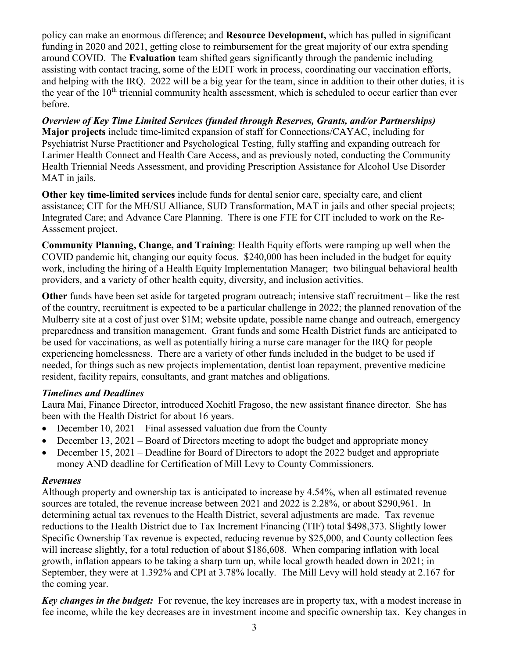policy can make an enormous difference; and **Resource Development,** which has pulled in significant funding in 2020 and 2021, getting close to reimbursement for the great majority of our extra spending around COVID. The **Evaluation** team shifted gears significantly through the pandemic including assisting with contact tracing, some of the EDIT work in process, coordinating our vaccination efforts, and helping with the IRQ. 2022 will be a big year for the team, since in addition to their other duties, it is the year of the  $10<sup>th</sup>$  triennial community health assessment, which is scheduled to occur earlier than ever before.

*Overview of Key Time Limited Services (funded through Reserves, Grants, and/or Partnerships)*  **Major projects** include time-limited expansion of staff for Connections/CAYAC, including for Psychiatrist Nurse Practitioner and Psychological Testing, fully staffing and expanding outreach for Larimer Health Connect and Health Care Access, and as previously noted, conducting the Community Health Triennial Needs Assessment, and providing Prescription Assistance for Alcohol Use Disorder MAT in jails.

**Other key time-limited services** include funds for dental senior care, specialty care, and client assistance; CIT for the MH/SU Alliance, SUD Transformation, MAT in jails and other special projects; Integrated Care; and Advance Care Planning. There is one FTE for CIT included to work on the Re-Asssement project.

**Community Planning, Change, and Training**: Health Equity efforts were ramping up well when the COVID pandemic hit, changing our equity focus. \$240,000 has been included in the budget for equity work, including the hiring of a Health Equity Implementation Manager; two bilingual behavioral health providers, and a variety of other health equity, diversity, and inclusion activities.

**Other** funds have been set aside for targeted program outreach; intensive staff recruitment – like the rest of the country, recruitment is expected to be a particular challenge in 2022; the planned renovation of the Mulberry site at a cost of just over \$1M; website update, possible name change and outreach, emergency preparedness and transition management. Grant funds and some Health District funds are anticipated to be used for vaccinations, as well as potentially hiring a nurse care manager for the IRQ for people experiencing homelessness. There are a variety of other funds included in the budget to be used if needed, for things such as new projects implementation, dentist loan repayment, preventive medicine resident, facility repairs, consultants, and grant matches and obligations.

# *Timelines and Deadlines*

Laura Mai, Finance Director, introduced Xochitl Fragoso, the new assistant finance director. She has been with the Health District for about 16 years.

- December 10, 2021 Final assessed valuation due from the County
- December 13, 2021 Board of Directors meeting to adopt the budget and appropriate money
- December 15, 2021 Deadline for Board of Directors to adopt the 2022 budget and appropriate money AND deadline for Certification of Mill Levy to County Commissioners.

## *Revenues*

Although property and ownership tax is anticipated to increase by 4.54%, when all estimated revenue sources are totaled, the revenue increase between 2021 and 2022 is 2.28%, or about \$290,961. In determining actual tax revenues to the Health District, several adjustments are made. Tax revenue reductions to the Health District due to Tax Increment Financing (TIF) total \$498,373. Slightly lower Specific Ownership Tax revenue is expected, reducing revenue by \$25,000, and County collection fees will increase slightly, for a total reduction of about \$186,608. When comparing inflation with local growth, inflation appears to be taking a sharp turn up, while local growth headed down in 2021; in September, they were at 1.392% and CPI at 3.78% locally. The Mill Levy will hold steady at 2.167 for the coming year.

*Key changes in the budget:* For revenue, the key increases are in property tax, with a modest increase in fee income, while the key decreases are in investment income and specific ownership tax. Key changes in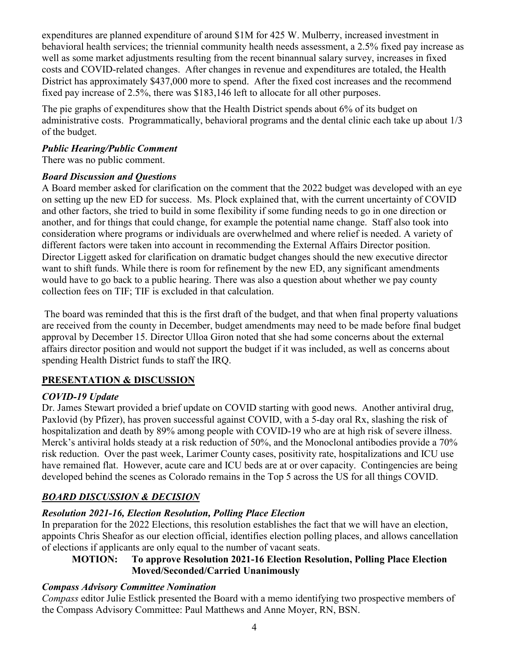expenditures are planned expenditure of around \$1M for 425 W. Mulberry, increased investment in behavioral health services; the triennial community health needs assessment, a 2.5% fixed pay increase as well as some market adjustments resulting from the recent binannual salary survey, increases in fixed costs and COVID-related changes. After changes in revenue and expenditures are totaled, the Health District has approximately \$437,000 more to spend. After the fixed cost increases and the recommend fixed pay increase of 2.5%, there was \$183,146 left to allocate for all other purposes.

The pie graphs of expenditures show that the Health District spends about 6% of its budget on administrative costs. Programmatically, behavioral programs and the dental clinic each take up about 1/3 of the budget.

## *Public Hearing/Public Comment*

There was no public comment.

# *Board Discussion and Questions*

A Board member asked for clarification on the comment that the 2022 budget was developed with an eye on setting up the new ED for success. Ms. Plock explained that, with the current uncertainty of COVID and other factors, she tried to build in some flexibility if some funding needs to go in one direction or another, and for things that could change, for example the potential name change. Staff also took into consideration where programs or individuals are overwhelmed and where relief is needed. A variety of different factors were taken into account in recommending the External Affairs Director position. Director Liggett asked for clarification on dramatic budget changes should the new executive director want to shift funds. While there is room for refinement by the new ED, any significant amendments would have to go back to a public hearing. There was also a question about whether we pay county collection fees on TIF; TIF is excluded in that calculation.

 The board was reminded that this is the first draft of the budget, and that when final property valuations are received from the county in December, budget amendments may need to be made before final budget approval by December 15. Director Ulloa Giron noted that she had some concerns about the external affairs director position and would not support the budget if it was included, as well as concerns about spending Health District funds to staff the IRQ.

# **PRESENTATION & DISCUSSION**

# *COVID-19 Update*

Dr. James Stewart provided a brief update on COVID starting with good news. Another antiviral drug, Paxlovid (by Pfizer), has proven successful against COVID, with a 5-day oral Rx, slashing the risk of hospitalization and death by 89% among people with COVID-19 who are at high risk of severe illness. Merck's antiviral holds steady at a risk reduction of 50%, and the Monoclonal antibodies provide a 70% risk reduction. Over the past week, Larimer County cases, positivity rate, hospitalizations and ICU use have remained flat. However, acute care and ICU beds are at or over capacity. Contingencies are being developed behind the scenes as Colorado remains in the Top 5 across the US for all things COVID.

# *BOARD DISCUSSION & DECISION*

# *Resolution 2021-16, Election Resolution, Polling Place Election*

In preparation for the 2022 Elections, this resolution establishes the fact that we will have an election, appoints Chris Sheafor as our election official, identifies election polling places, and allows cancellation of elections if applicants are only equal to the number of vacant seats.

# **MOTION: To approve Resolution 2021-16 Election Resolution, Polling Place Election Moved/Seconded/Carried Unanimously**

# *Compass Advisory Committee Nomination*

*Compass* editor Julie Estlick presented the Board with a memo identifying two prospective members of the Compass Advisory Committee: Paul Matthews and Anne Moyer, RN, BSN.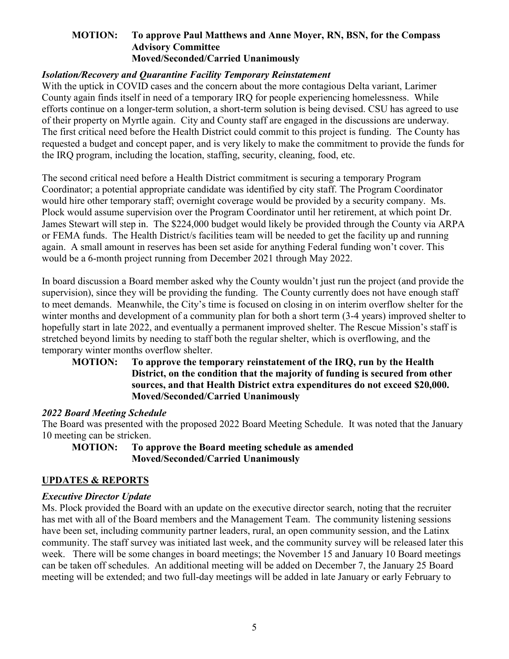#### **MOTION: To approve Paul Matthews and Anne Moyer, RN, BSN, for the Compass Advisory Committee Moved/Seconded/Carried Unanimously**

## *Isolation/Recovery and Quarantine Facility Temporary Reinstatement*

With the uptick in COVID cases and the concern about the more contagious Delta variant, Larimer County again finds itself in need of a temporary IRQ for people experiencing homelessness. While efforts continue on a longer-term solution, a short-term solution is being devised. CSU has agreed to use of their property on Myrtle again. City and County staff are engaged in the discussions are underway. The first critical need before the Health District could commit to this project is funding. The County has requested a budget and concept paper, and is very likely to make the commitment to provide the funds for the IRQ program, including the location, staffing, security, cleaning, food, etc.

The second critical need before a Health District commitment is securing a temporary Program Coordinator; a potential appropriate candidate was identified by city staff. The Program Coordinator would hire other temporary staff; overnight coverage would be provided by a security company. Ms. Plock would assume supervision over the Program Coordinator until her retirement, at which point Dr. James Stewart will step in. The \$224,000 budget would likely be provided through the County via ARPA or FEMA funds. The Health District/s facilities team will be needed to get the facility up and running again. A small amount in reserves has been set aside for anything Federal funding won't cover. This would be a 6-month project running from December 2021 through May 2022.

In board discussion a Board member asked why the County wouldn't just run the project (and provide the supervision), since they will be providing the funding. The County currently does not have enough staff to meet demands. Meanwhile, the City's time is focused on closing in on interim overflow shelter for the winter months and development of a community plan for both a short term (3-4 years) improved shelter to hopefully start in late 2022, and eventually a permanent improved shelter. The Rescue Mission's staff is stretched beyond limits by needing to staff both the regular shelter, which is overflowing, and the temporary winter months overflow shelter.

## **MOTION: To approve the temporary reinstatement of the IRQ, run by the Health District, on the condition that the majority of funding is secured from other sources, and that Health District extra expenditures do not exceed \$20,000. Moved/Seconded/Carried Unanimously**

#### *2022 Board Meeting Schedule*

The Board was presented with the proposed 2022 Board Meeting Schedule. It was noted that the January 10 meeting can be stricken.

## **MOTION: To approve the Board meeting schedule as amended Moved/Seconded/Carried Unanimously**

#### **UPDATES & REPORTS**

#### *Executive Director Update*

Ms. Plock provided the Board with an update on the executive director search, noting that the recruiter has met with all of the Board members and the Management Team. The community listening sessions have been set, including community partner leaders, rural, an open community session, and the Latinx community. The staff survey was initiated last week, and the community survey will be released later this week. There will be some changes in board meetings; the November 15 and January 10 Board meetings can be taken off schedules. An additional meeting will be added on December 7, the January 25 Board meeting will be extended; and two full-day meetings will be added in late January or early February to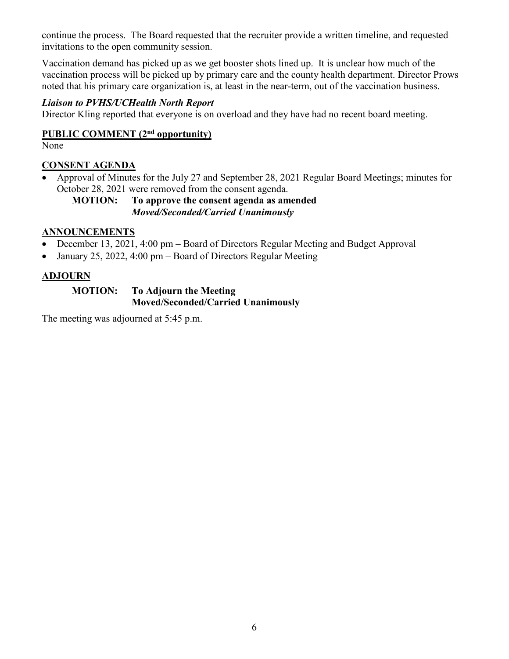continue the process. The Board requested that the recruiter provide a written timeline, and requested invitations to the open community session.

Vaccination demand has picked up as we get booster shots lined up. It is unclear how much of the vaccination process will be picked up by primary care and the county health department. Director Prows noted that his primary care organization is, at least in the near-term, out of the vaccination business.

# *Liaison to PVHS/UCHealth North Report*

Director Kling reported that everyone is on overload and they have had no recent board meeting.

# **PUBLIC COMMENT (2nd opportunity)**

None

# **CONSENT AGENDA**

• Approval of Minutes for the July 27 and September 28, 2021 Regular Board Meetings; minutes for October 28, 2021 were removed from the consent agenda.

## **MOTION: To approve the consent agenda as amended** *Moved/Seconded/Carried Unanimously*

## **ANNOUNCEMENTS**

- December 13, 2021, 4:00 pm Board of Directors Regular Meeting and Budget Approval
- January 25, 2022, 4:00 pm Board of Directors Regular Meeting

# **ADJOURN**

## **MOTION: To Adjourn the Meeting Moved/Seconded/Carried Unanimously**

The meeting was adjourned at 5:45 p.m.